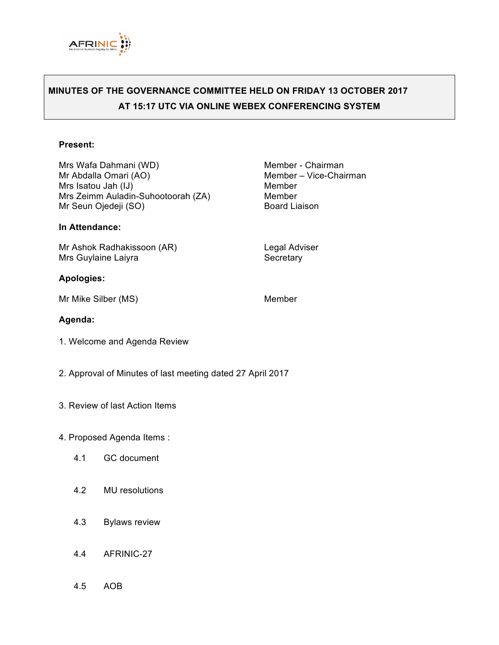

# **MINUTES OF THE GOVERNANCE COMMITTEE HELD ON FRIDAY 13 OCTOBER 2017 AT 15:17 UTC VIA ONLINE WEBEX CONFERENCING SYSTEM**

#### **Present:**

Mrs Wafa Dahmani (WD) Member - Chairman<br>Mr Abdalla Omari (AO) Member - Vice-Chai Mrs Isatou Jah (IJ) Member Mrs Zeimm Auladin-Suhootoorah (ZA) Member Mr Seun Ojedeji (SO) Board Liaison

#### **In Attendance:**

Mr Ashok Radhakissoon (AR) Legal Adviser Mrs Guylaine Laiyra **Secretary** Secretary

#### **Apologies:**

Mr Mike Silber (MS) Member

Member – Vice-Chairman

### **Agenda:**

- 1. Welcome and Agenda Review
- 2. Approval of Minutes of last meeting dated 27 April 2017
- 3. Review of last Action Items
- 4. Proposed Agenda Items :
	- 4.1 GC document
	- 4.2 MU resolutions
	- 4.3 Bylaws review
	- 4.4 AFRINIC-27
	- 4.5 AOB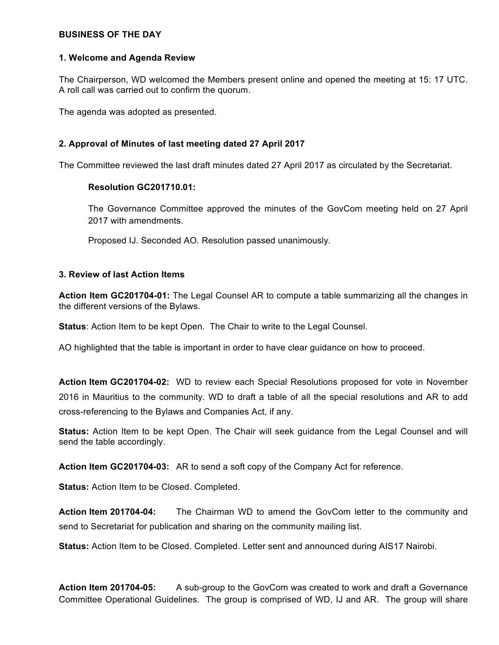### **BUSINESS OF THE DAY**

# **1. Welcome and Agenda Review**

The Chairperson, WD welcomed the Members present online and opened the meeting at 15: 17 UTC. A roll call was carried out to confirm the quorum.

The agenda was adopted as presented.

# **2. Approval of Minutes of last meeting dated 27 April 2017**

The Committee reviewed the last draft minutes dated 27 April 2017 as circulated by the Secretariat.

# **Resolution GC201710.01:**

The Governance Committee approved the minutes of the GovCom meeting held on 27 April 2017 with amendments.

Proposed IJ. Seconded AO. Resolution passed unanimously.

# **3. Review of last Action Items**

**Action Item GC201704-01:** The Legal Counsel AR to compute a table summarizing all the changes in the different versions of the Bylaws.

**Status**: Action Item to be kept Open. The Chair to write to the Legal Counsel.

AO highlighted that the table is important in order to have clear guidance on how to proceed.

**Action Item GC201704-02:** WD to review each Special Resolutions proposed for vote in November 2016 in Mauritius to the community. WD to draft a table of all the special resolutions and AR to add cross-referencing to the Bylaws and Companies Act, if any.

**Status:** Action Item to be kept Open. The Chair will seek guidance from the Legal Counsel and will send the table accordingly.

**Action Item GC201704-03:** AR to send a soft copy of the Company Act for reference.

**Status:** Action Item to be Closed. Completed.

**Action Item 201704-04:** The Chairman WD to amend the GovCom letter to the community and send to Secretariat for publication and sharing on the community mailing list.

**Status:** Action Item to be Closed. Completed. Letter sent and announced during AIS17 Nairobi.

**Action Item 201704-05:** A sub-group to the GovCom was created to work and draft a Governance Committee Operational Guidelines. The group is comprised of WD, IJ and AR. The group will share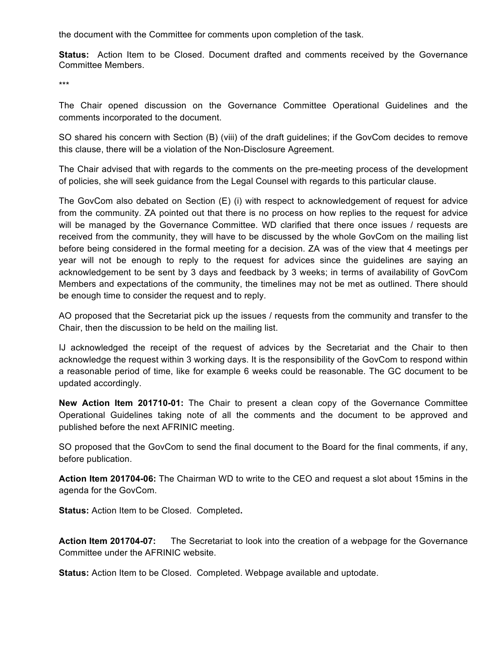the document with the Committee for comments upon completion of the task.

**Status:** Action Item to be Closed. Document drafted and comments received by the Governance Committee Members.

\*\*\*

The Chair opened discussion on the Governance Committee Operational Guidelines and the comments incorporated to the document.

SO shared his concern with Section (B) (viii) of the draft guidelines; if the GovCom decides to remove this clause, there will be a violation of the Non-Disclosure Agreement.

The Chair advised that with regards to the comments on the pre-meeting process of the development of policies, she will seek guidance from the Legal Counsel with regards to this particular clause.

The GovCom also debated on Section (E) (i) with respect to acknowledgement of request for advice from the community. ZA pointed out that there is no process on how replies to the request for advice will be managed by the Governance Committee. WD clarified that there once issues / requests are received from the community, they will have to be discussed by the whole GovCom on the mailing list before being considered in the formal meeting for a decision. ZA was of the view that 4 meetings per year will not be enough to reply to the request for advices since the guidelines are saying an acknowledgement to be sent by 3 days and feedback by 3 weeks; in terms of availability of GovCom Members and expectations of the community, the timelines may not be met as outlined. There should be enough time to consider the request and to reply.

AO proposed that the Secretariat pick up the issues / requests from the community and transfer to the Chair, then the discussion to be held on the mailing list.

IJ acknowledged the receipt of the request of advices by the Secretariat and the Chair to then acknowledge the request within 3 working days. It is the responsibility of the GovCom to respond within a reasonable period of time, like for example 6 weeks could be reasonable. The GC document to be updated accordingly.

**New Action Item 201710-01:** The Chair to present a clean copy of the Governance Committee Operational Guidelines taking note of all the comments and the document to be approved and published before the next AFRINIC meeting.

SO proposed that the GovCom to send the final document to the Board for the final comments, if any, before publication.

**Action Item 201704-06:** The Chairman WD to write to the CEO and request a slot about 15mins in the agenda for the GovCom.

**Status:** Action Item to be Closed. Completed**.** 

**Action Item 201704-07:** The Secretariat to look into the creation of a webpage for the Governance Committee under the AFRINIC website.

**Status:** Action Item to be Closed. Completed. Webpage available and uptodate.